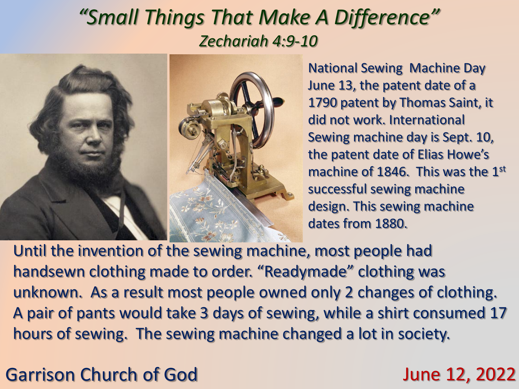## *"Small Things That Make A Difference" Zechariah 4:9-10*



National Sewing Machine Day June 13, the patent date of a 1790 patent by Thomas Saint, it did not work. International Sewing machine day is Sept. 10, the patent date of Elias Howe's machine of 1846. This was the 1<sup>st</sup> successful sewing machine design. This sewing machine dates from 1880.

Until the invention of the sewing machine, most people had handsewn clothing made to order. "Readymade" clothing was unknown. As a result most people owned only 2 changes of clothing. A pair of pants would take 3 days of sewing, while a shirt consumed 17 hours of sewing. The sewing machine changed a lot in society.

## Garrison Church of God June 12, 2022